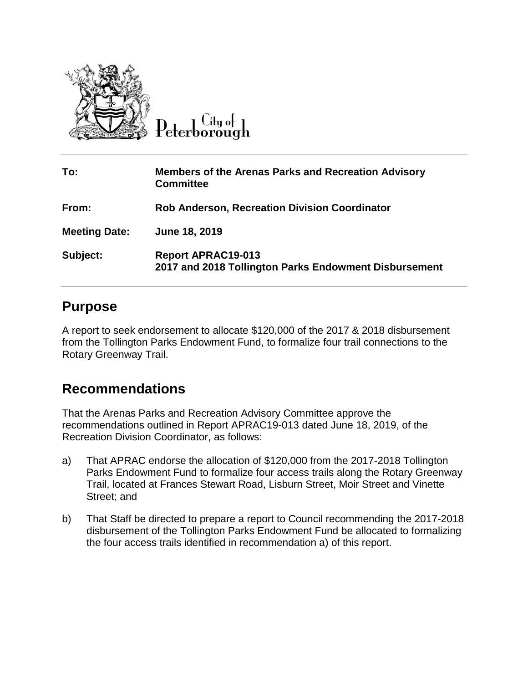

 $C$ ity of Peterborough

| To:                  | <b>Members of the Arenas Parks and Recreation Advisory</b><br><b>Committee</b>     |
|----------------------|------------------------------------------------------------------------------------|
| From:                | <b>Rob Anderson, Recreation Division Coordinator</b>                               |
| <b>Meeting Date:</b> | June 18, 2019                                                                      |
| Subject:             | <b>Report APRAC19-013</b><br>2017 and 2018 Tollington Parks Endowment Disbursement |

### **Purpose**

A report to seek endorsement to allocate \$120,000 of the 2017 & 2018 disbursement from the Tollington Parks Endowment Fund, to formalize four trail connections to the Rotary Greenway Trail.

### **Recommendations**

That the Arenas Parks and Recreation Advisory Committee approve the recommendations outlined in Report APRAC19-013 dated June 18, 2019, of the Recreation Division Coordinator, as follows:

- a) That APRAC endorse the allocation of \$120,000 from the 2017-2018 Tollington Parks Endowment Fund to formalize four access trails along the Rotary Greenway Trail, located at Frances Stewart Road, Lisburn Street, Moir Street and Vinette Street; and
- b) That Staff be directed to prepare a report to Council recommending the 2017-2018 disbursement of the Tollington Parks Endowment Fund be allocated to formalizing the four access trails identified in recommendation a) of this report.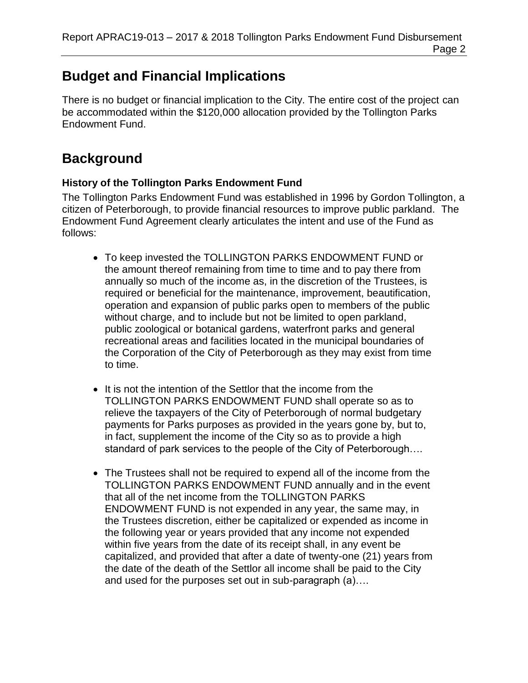# **Budget and Financial Implications**

There is no budget or financial implication to the City. The entire cost of the project can be accommodated within the \$120,000 allocation provided by the Tollington Parks Endowment Fund.

## **Background**

#### **History of the Tollington Parks Endowment Fund**

The Tollington Parks Endowment Fund was established in 1996 by Gordon Tollington, a citizen of Peterborough, to provide financial resources to improve public parkland. The Endowment Fund Agreement clearly articulates the intent and use of the Fund as follows:

- To keep invested the TOLLINGTON PARKS ENDOWMENT FUND or the amount thereof remaining from time to time and to pay there from annually so much of the income as, in the discretion of the Trustees, is required or beneficial for the maintenance, improvement, beautification, operation and expansion of public parks open to members of the public without charge, and to include but not be limited to open parkland, public zoological or botanical gardens, waterfront parks and general recreational areas and facilities located in the municipal boundaries of the Corporation of the City of Peterborough as they may exist from time to time.
- It is not the intention of the Settlor that the income from the TOLLINGTON PARKS ENDOWMENT FUND shall operate so as to relieve the taxpayers of the City of Peterborough of normal budgetary payments for Parks purposes as provided in the years gone by, but to, in fact, supplement the income of the City so as to provide a high standard of park services to the people of the City of Peterborough….
- The Trustees shall not be required to expend all of the income from the TOLLINGTON PARKS ENDOWMENT FUND annually and in the event that all of the net income from the TOLLINGTON PARKS ENDOWMENT FUND is not expended in any year, the same may, in the Trustees discretion, either be capitalized or expended as income in the following year or years provided that any income not expended within five years from the date of its receipt shall, in any event be capitalized, and provided that after a date of twenty-one (21) years from the date of the death of the Settlor all income shall be paid to the City and used for the purposes set out in sub-paragraph (a)….